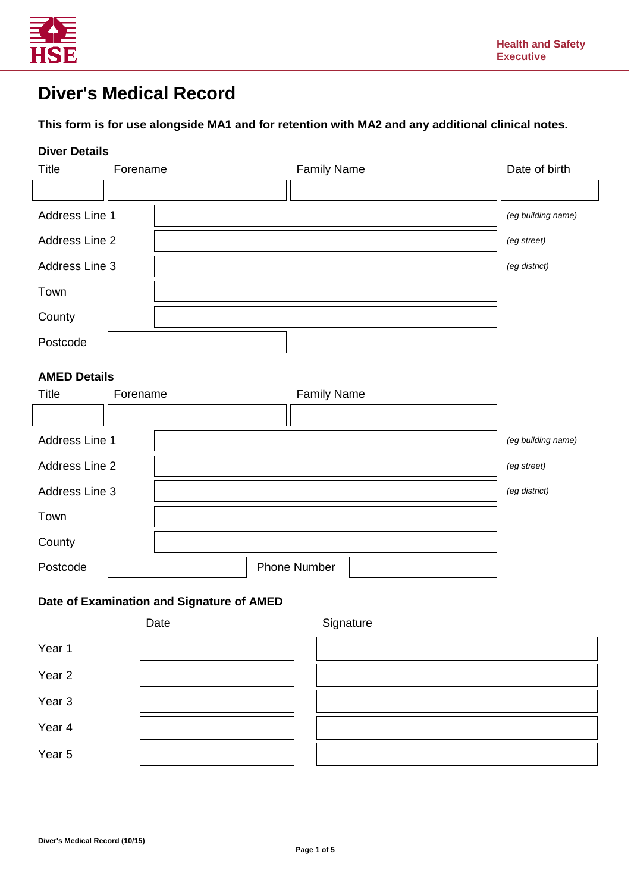

# **Diver's Medical Record**

# **This form is for use alongside MA1 and for retention with MA2 and any additional clinical notes.**

#### **Diver Details**

| <b>Title</b>   | Forename | <b>Family Name</b> | Date of birth      |
|----------------|----------|--------------------|--------------------|
|                |          |                    |                    |
| Address Line 1 |          |                    | (eg building name) |
| Address Line 2 |          |                    | (eg street)        |
| Address Line 3 |          |                    | (eg district)      |
| Town           |          |                    |                    |
| County         |          |                    |                    |
| Postcode       |          |                    |                    |

#### **AMED Details**

| <b>Title</b>   | Forename | <b>Family Name</b>  |                    |
|----------------|----------|---------------------|--------------------|
|                |          |                     |                    |
| Address Line 1 |          |                     | (eg building name) |
| Address Line 2 |          |                     | (eg street)        |
| Address Line 3 |          |                     | (eg district)      |
| Town           |          |                     |                    |
| County         |          |                     |                    |
| Postcode       |          | <b>Phone Number</b> |                    |

### **Date of Examination and Signature of AMED**

|                   | Date | Signature |
|-------------------|------|-----------|
| Year 1            |      |           |
| Year 2            |      |           |
| Year <sub>3</sub> |      |           |
| Year 4            |      |           |
| Year 5            |      |           |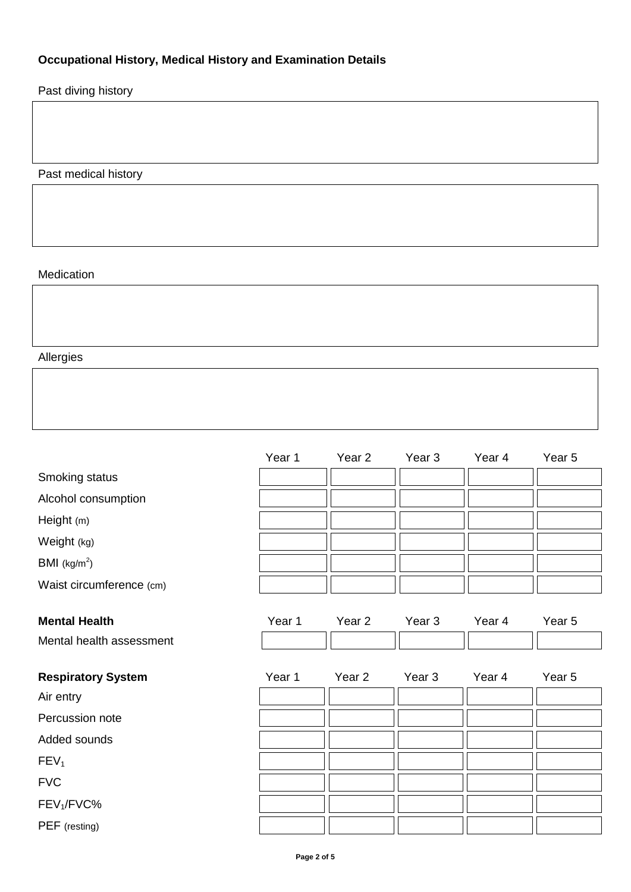# **Occupational History, Medical History and Examination Details**

Past diving history

Past medical history

# Medication

Allergies

|                           | Year 1 | Year 2            | Year <sub>3</sub> | Year 4 | Year 5 |
|---------------------------|--------|-------------------|-------------------|--------|--------|
| Smoking status            |        |                   |                   |        |        |
| Alcohol consumption       |        |                   |                   |        |        |
| Height (m)                |        |                   |                   |        |        |
| Weight (kg)               |        |                   |                   |        |        |
| BMI (kg/m <sup>2</sup> )  |        |                   |                   |        |        |
| Waist circumference (cm)  |        |                   |                   |        |        |
|                           |        |                   |                   |        |        |
| <b>Mental Health</b>      | Year 1 | Year 2            | Year 3            | Year 4 | Year 5 |
| Mental health assessment  |        |                   |                   |        |        |
|                           |        |                   |                   |        |        |
| <b>Respiratory System</b> | Year 1 | Year <sub>2</sub> | Year <sub>3</sub> | Year 4 | Year 5 |
| Air entry                 |        |                   |                   |        |        |
| Percussion note           |        |                   |                   |        |        |
| Added sounds              |        |                   |                   |        |        |
| FEV <sub>1</sub>          |        |                   |                   |        |        |
| <b>FVC</b>                |        |                   |                   |        |        |
| FEV <sub>1</sub> /FVC%    |        |                   |                   |        |        |
| PEF (resting)             |        |                   |                   |        |        |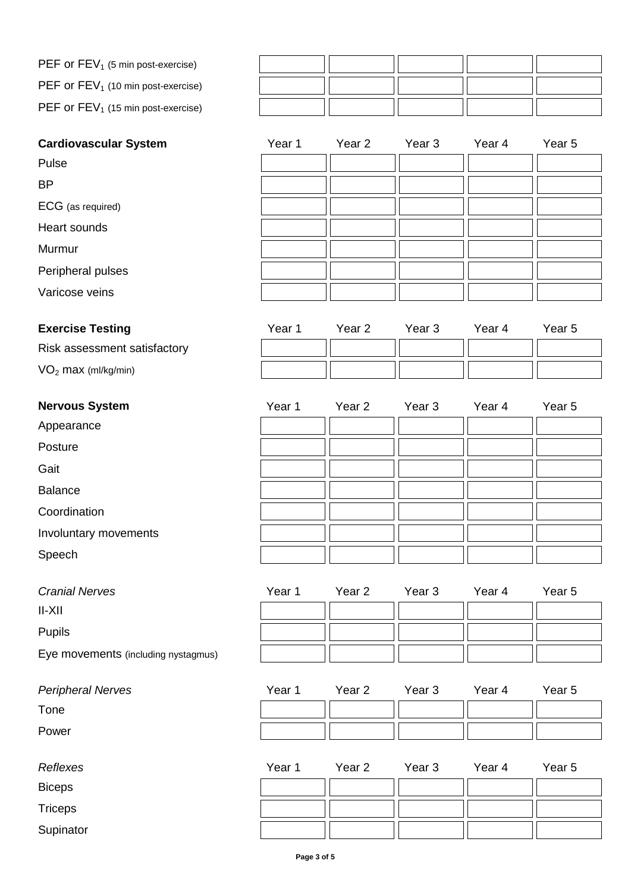| PEF or $FEV_1$ (5 min post-exercise)  |  |  |  |
|---------------------------------------|--|--|--|
| PEF or $FEV_1$ (10 min post-exercise) |  |  |  |
| PEF or $FEV_1$ (15 min post-exercise) |  |  |  |

| <b>Cardiovascular System</b> | Year 1 | Year 2            | Year <sub>3</sub> | Year 4 | Year 5 |
|------------------------------|--------|-------------------|-------------------|--------|--------|
| Pulse                        |        |                   |                   |        |        |
| <b>BP</b>                    |        |                   |                   |        |        |
| ECG (as required)            |        |                   |                   |        |        |
| Heart sounds                 |        |                   |                   |        |        |
| Murmur                       |        |                   |                   |        |        |
| Peripheral pulses            |        |                   |                   |        |        |
| Varicose veins               |        |                   |                   |        |        |
| <b>Exercise Testing</b>      | Year 1 | Year <sub>2</sub> | Year <sub>3</sub> | Year 4 | Year 5 |
| Risk assessment satisfactory |        |                   |                   |        |        |
| $VO2$ max (ml/kg/min)        |        |                   |                   |        |        |
| <b>Nervous System</b>        | Year 1 | Year 2            | Year 3            | Year 4 | Year 5 |

| Appearance |
|------------|
|------------|

Posture

Gait

Balance

Coordination

Involuntary movements

Speech

| <b>Cranial Nerves</b>               | Year 1 | Year 2 | Year 3 | Year 4 | Year 5 |
|-------------------------------------|--------|--------|--------|--------|--------|
| $II-XII$                            |        |        |        |        |        |
| <b>Pupils</b>                       |        |        |        |        |        |
| Eye movements (including nystagmus) |        |        |        |        |        |

**Peripheral Nerves** 

Tone

Power

Biceps

**Triceps** 

|  | $1$ $\alpha$ $1$ $\alpha$ $2$ $1$ $\alpha$ $3$ $1$ $\alpha$ $7$ $1$ $\alpha$ $3$ |  |
|--|----------------------------------------------------------------------------------|--|
|  |                                                                                  |  |
|  |                                                                                  |  |
|  |                                                                                  |  |
|  |                                                                                  |  |
|  |                                                                                  |  |
|  |                                                                                  |  |
|  |                                                                                  |  |

| Year 1 Year 2 Year 3 Year 4 Year 5 |  |  |
|------------------------------------|--|--|
|                                    |  |  |
|                                    |  |  |

| Reflexes      | Year 1 | Year 2 | Year 3 | Year 4 | Year <sub>5</sub> |
|---------------|--------|--------|--------|--------|-------------------|
| <b>Biceps</b> |        |        |        |        |                   |
| Triceps       |        |        |        |        |                   |
| Supinator     |        |        |        |        |                   |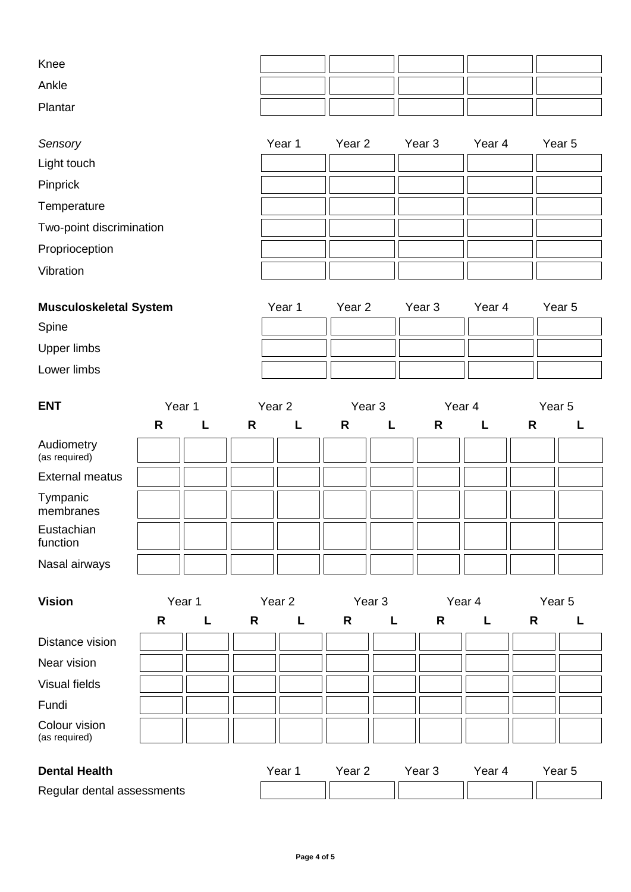| Knee    |  |  |  |
|---------|--|--|--|
| Ankle   |  |  |  |
| Plantar |  |  |  |

| Sensory                  | Year 1 | Year 2 | Year 3 | Year 4 | Year 5 |
|--------------------------|--------|--------|--------|--------|--------|
| Light touch              |        |        |        |        |        |
| Pinprick                 |        |        |        |        |        |
| Temperature              |        |        |        |        |        |
| Two-point discrimination |        |        |        |        |        |
| Proprioception           |        |        |        |        |        |
| Vibration                |        |        |        |        |        |

| <b>Musculoskeletal System</b> | Year 1 | Year 2 | Year 3 | Year 4 | Year 5 |
|-------------------------------|--------|--------|--------|--------|--------|
| Spine                         |        |        |        |        |        |
| Upper limbs                   |        |        |        |        |        |
| Lower limbs                   |        |        |        |        |        |

| <b>ENT</b>                  |   | Year 1 |              | Year <sub>2</sub><br>Year <sub>3</sub> |   |              | Year 4 |   | Year 5 |  |
|-----------------------------|---|--------|--------------|----------------------------------------|---|--------------|--------|---|--------|--|
|                             | R |        | $\mathsf{R}$ | L                                      | R | $\mathbf{L}$ | R      | L | R      |  |
| Audiometry<br>(as required) |   |        |              |                                        |   |              |        |   |        |  |
| <b>External meatus</b>      |   |        |              |                                        |   |              |        |   |        |  |
| Tympanic<br>membranes       |   |        |              |                                        |   |              |        |   |        |  |
| Eustachian<br>function      |   |        |              |                                        |   |              |        |   |        |  |
| Nasal airways               |   |        |              |                                        |   |              |        |   |        |  |

| <b>Vision</b>                  | Year 1       |   |   | Year 2 | Year 3       |   | Year 4            |        | Year 5 |        |
|--------------------------------|--------------|---|---|--------|--------------|---|-------------------|--------|--------|--------|
|                                | $\mathsf{R}$ | L | R | L.     | $\mathsf{R}$ | L | R                 | L      | R      |        |
| Distance vision                |              |   |   |        |              |   |                   |        |        |        |
| Near vision                    |              |   |   |        |              |   |                   |        |        |        |
| Visual fields                  |              |   |   |        |              |   |                   |        |        |        |
| Fundi                          |              |   |   |        |              |   |                   |        |        |        |
| Colour vision<br>(as required) |              |   |   |        |              |   |                   |        |        |        |
| <b>Dental Health</b>           |              |   |   | Year 1 | Year 2       |   | Year <sub>3</sub> | Year 4 |        | Year 5 |
| Regular dental assessments     |              |   |   |        |              |   |                   |        |        |        |